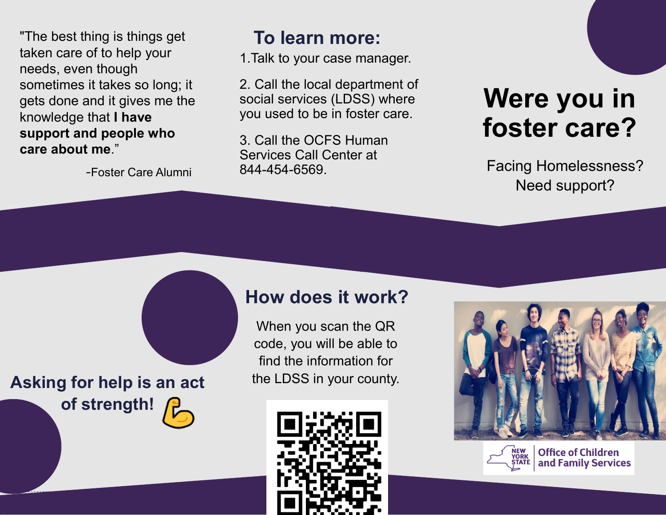"The best thing is things get taken care of to help your needs, even though sometimes it takes so long; it gets done and it gives me the knowledge that **I have support and people who care about me**."

-Foster Care Alumni

#### **To learn more:**

1.Talk to your case manager.

2. Call the local department of social services (LDSS) where you used to be in foster care.

3. Call the OCFS Human Services Call Center at 844-454-6569.

# **Were you in foster care?**

Facing Homelessness? Need support?

Asking for help is an act the LDSS in your county. **of strength!** 

### **How does it work?**

When you scan the QR code, you will be able to find the information for







**Office of Children** and Family Services